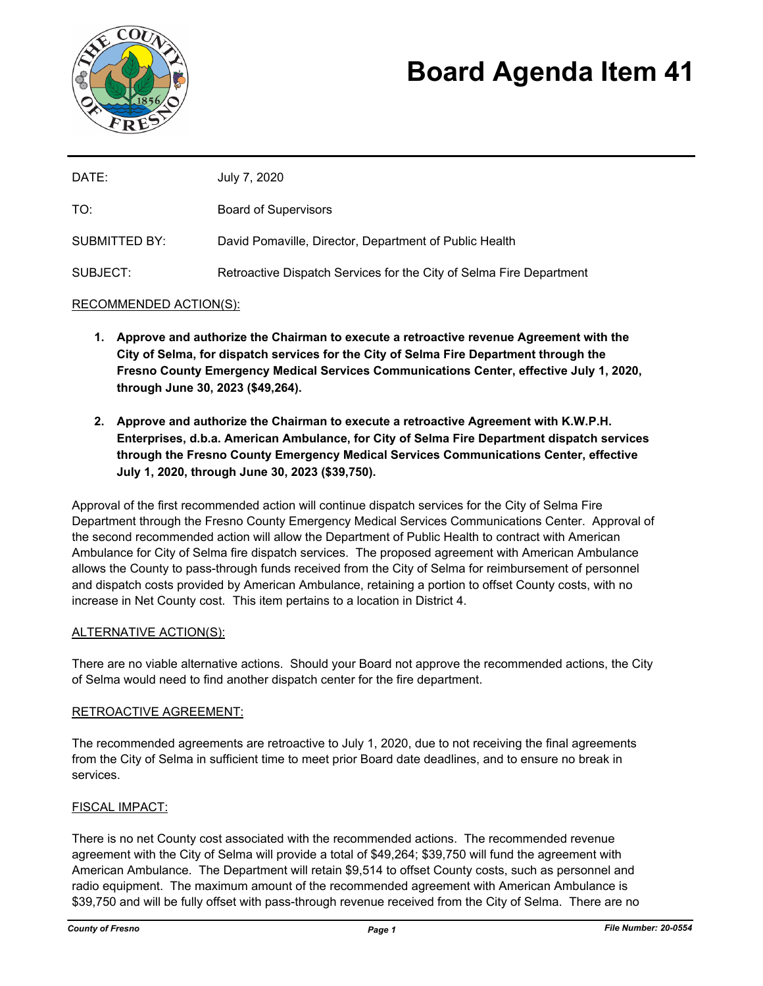

# **Board Agenda Item 41**

| DATE:         | July 7, 2020                                                        |
|---------------|---------------------------------------------------------------------|
| TO:           | <b>Board of Supervisors</b>                                         |
| SUBMITTED BY: | David Pomaville, Director, Department of Public Health              |
| SUBJECT:      | Retroactive Dispatch Services for the City of Selma Fire Department |

## RECOMMENDED ACTION(S):

- **1. Approve and authorize the Chairman to execute a retroactive revenue Agreement with the City of Selma, for dispatch services for the City of Selma Fire Department through the Fresno County Emergency Medical Services Communications Center, effective July 1, 2020, through June 30, 2023 (\$49,264).**
- **2. Approve and authorize the Chairman to execute a retroactive Agreement with K.W.P.H. Enterprises, d.b.a. American Ambulance, for City of Selma Fire Department dispatch services through the Fresno County Emergency Medical Services Communications Center, effective July 1, 2020, through June 30, 2023 (\$39,750).**

Approval of the first recommended action will continue dispatch services for the City of Selma Fire Department through the Fresno County Emergency Medical Services Communications Center. Approval of the second recommended action will allow the Department of Public Health to contract with American Ambulance for City of Selma fire dispatch services. The proposed agreement with American Ambulance allows the County to pass-through funds received from the City of Selma for reimbursement of personnel and dispatch costs provided by American Ambulance, retaining a portion to offset County costs, with no increase in Net County cost. This item pertains to a location in District 4.

#### ALTERNATIVE ACTION(S):

There are no viable alternative actions. Should your Board not approve the recommended actions, the City of Selma would need to find another dispatch center for the fire department.

## RETROACTIVE AGREEMENT:

The recommended agreements are retroactive to July 1, 2020, due to not receiving the final agreements from the City of Selma in sufficient time to meet prior Board date deadlines, and to ensure no break in services.

#### FISCAL IMPACT:

There is no net County cost associated with the recommended actions. The recommended revenue agreement with the City of Selma will provide a total of \$49,264; \$39,750 will fund the agreement with American Ambulance. The Department will retain \$9,514 to offset County costs, such as personnel and radio equipment. The maximum amount of the recommended agreement with American Ambulance is \$39,750 and will be fully offset with pass-through revenue received from the City of Selma. There are no